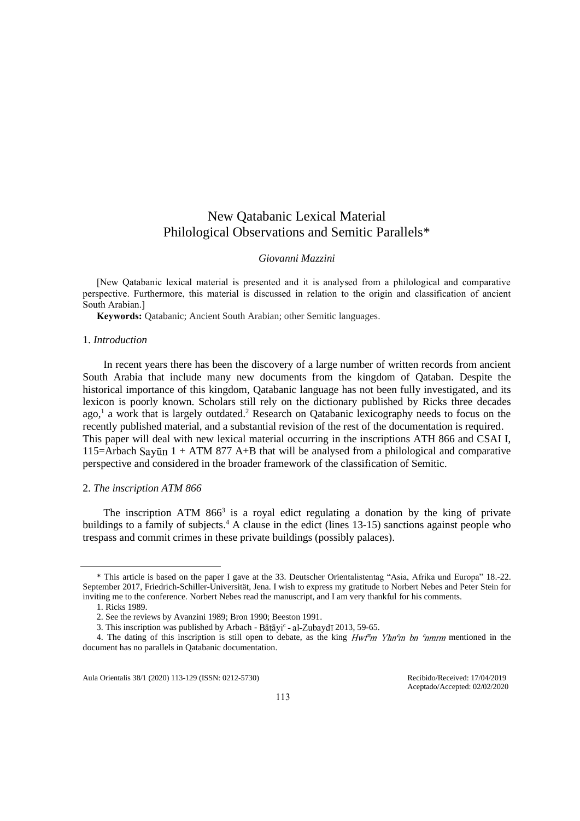# New Qatabanic Lexical Material Philological Observations and Semitic Parallels\*

# *Giovanni Mazzini*

[New Qatabanic lexical material is presented and it is analysed from a philological and comparative perspective. Furthermore, this material is discussed in relation to the origin and classification of ancient South Arabian.]

**Keywords:** Qatabanic; Ancient South Arabian; other Semitic languages.

# 1. *Introduction*

In recent years there has been the discovery of a large number of written records from ancient South Arabia that include many new documents from the kingdom of Qataban. Despite the historical importance of this kingdom, Qatabanic language has not been fully investigated, and its lexicon is poorly known. Scholars still rely on the dictionary published by Ricks three decades ago, 1 a work that is largely outdated. <sup>2</sup> Research on Qatabanic lexicography needs to focus on the recently published material, and a substantial revision of the rest of the documentation is required. This paper will deal with new lexical material occurring in the inscriptions ATH 866 and CSAI I, 115=Arbach Sayūn  $1 + ATM 877$  A+B that will be analysed from a philological and comparative perspective and considered in the broader framework of the classification of Semitic.

## 2. *The inscription ATM 866*

The inscription ATM  $866<sup>3</sup>$  is a royal edict regulating a donation by the king of private buildings to a family of subjects. <sup>4</sup> A clause in the edict (lines 13-15) sanctions against people who trespass and commit crimes in these private buildings (possibly palaces).

Aula Orientalis 38/1 (2020) 113-129 (ISSN: 0212-5730) Recibido/Received: 17/04/2019

Aceptado/Accepted: 02/02/2020

<sup>\*</sup> This article is based on the paper I gave at the 33. Deutscher Orientalistentag "Asia, Afrika und Europa" 18.-22. September 2017, Friedrich-Schiller-Universität, Jena. I wish to express my gratitude to Norbert Nebes and Peter Stein for inviting me to the conference. Norbert Nebes read the manuscript, and I am very thankful for his comments.

<sup>1.</sup> Ricks 1989.

<sup>2.</sup> See the reviews by Avanzini 1989; Bron 1990; Beeston 1991.

<sup>3.</sup> This inscription was published by Arbach - Bātāyi<sup>c</sup> - al-Zubaydī 2013, 59-65.

<sup>4.</sup> The dating of this inscription is still open to debate, as the king  $HwFm Yh n$  for  $m$  mentioned in the document has no parallels in Qatabanic documentation.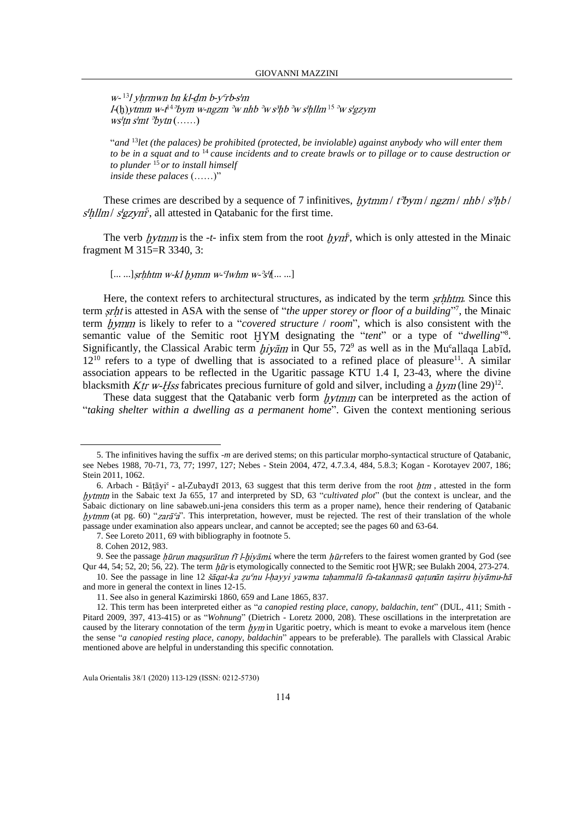$W^{-13}$  / vhrmwn bn kl-dm b- $V<sup>c</sup>$ rb-s'm  $I(h)$ ytmm w-t<sup>14 o</sup>bym w-ngzm <sup>o</sup>w nhb <sup>o</sup>w s<sup>3</sup>hb <sup>o</sup>w s'hllm<sup>15 o</sup>w s'gzym  $ws'tn \, s'nt \, \partial ytn \, (\ldots)$ 

"*and* <sup>13</sup>*let (the palaces) be prohibited (protected, be inviolable) against anybody who will enter them to be in a squat and to* <sup>14</sup>*cause incidents and to create brawls or to pillage or to cause destruction or to plunder* <sup>15</sup>*or to install himself inside these palaces* (……)"

These crimes are described by a sequence of 7 infinitives,  $hytmm/t^2bym/\eta zzm/\rho hbb/s^3hb/$  $5<sup>5</sup>$ , all attested in Qatabanic for the first time.

The verb *hytmm* is the  $-t$ - infix stem from the root  $h y n f$ , which is only attested in the Minaic fragment M 315=R 3340, 3:

### $[... \, ...]$ srhhtm w-kl hymm w-'lwhm w-'s' $[... \, ...]$

Here, the context refers to architectural structures, as indicated by the term *srhhtm*. Since this term *srht* is attested in ASA with the sense of "*the upper storey or floor of a building*"<sup>7</sup>, the Minaic term *hymm* is likely to refer to a "*covered structure / room*", which is also consistent with the semantic value of the Semitic root HYM designating the "*tent*" or a type of "*dwelling*"<sup>8</sup>. Significantly, the Classical Arabic term  $\psi \bar{a}$  in Qur 55, 72<sup>9</sup> as well as in the Mu°allaqa Labid,  $12^{10}$  refers to a type of dwelling that is associated to a refined place of pleasure<sup>11</sup>. A similar association appears to be reflected in the Ugaritic passage KTU 1.4 I, 23-43, where the divine blacksmith  $Ktr$  *w-Hss* fabricates precious furniture of gold and silver, including a  $\frac{h}{m}$  (line 29)<sup>12</sup>.

These data suggest that the Qatabanic verb form  $\frac{h}{t}$  than  $\frac{h}{t}$  can be interpreted as the action of "*taking shelter within a dwelling as a permanent home*". Given the context mentioning serious

10. See the passage in line 12 *šāqat-ka zu<sup>c</sup>nu l-hayyi yawma tahammalū fa-takannasū qatunān tasirru hiyāmu-hā* and more in general the context in lines 12-15.

<sup>5.</sup> The infinitives having the suffix -*m* are derived stems; on this particular morpho-syntactical structure of Qatabanic, see Nebes 1988, 70-71, 73, 77; 1997, 127; Nebes - Stein 2004, 472, 4.7.3.4, 484, 5.8.3; Kogan - Korotayev 2007, 186; Stein 2011, 1062.

<sup>6.</sup> Arbach - Bāṭāyi<sup>c</sup> - al-Zubaydī 2013, 63 suggest that this term derive from the root  $\frac{h}{m}$ , attested in the form hytmtn in the Sabaic text Ja 655, 17 and interpreted by SD, 63 "*cultivated plot*" (but the context is unclear, and the Sabaic dictionary on line sabaweb.uni-jena considers this term as a proper name), hence their rendering of Qatabanic hytmm (at pg. 60) "zarā'a". This interpretation, however, must be rejected. The rest of their translation of the whole passage under examination also appears unclear, and cannot be accepted; see the pages 60 and 63-64.

<sup>7.</sup> See Loreto 2011, 69 with bibliography in footnote 5.

<sup>8.</sup> Cohen 2012, 983.

<sup>9.</sup> See the passage hūrun maqsurātun fī l-hiyāmi, where the term hūr refers to the fairest women granted by God (see Qur 44, 54; 52, 20; 56, 22). The term  $h\bar{u}r$  is etymologically connected to the Semitic root HWR; see Bulakh 2004, 273-274.

<sup>11.</sup> See also in general Kazimirski 1860, 659 and Lane 1865, 837.

<sup>12.</sup> This term has been interpreted either as "*a canopied resting place*, *canopy*, *baldachin*, *tent*" (DUL, 411; Smith - Pitard 2009, 397, 413-415) or as "*Wohnung*" (Dietrich - Loretz 2000, 208). These oscillations in the interpretation are caused by the literary connotation of the term  $hym$  in Ugaritic poetry, which is meant to evoke a marvelous item (hence the sense "*a canopied resting place*, *canopy*, *baldachin*" appears to be preferable). The parallels with Classical Arabic mentioned above are helpful in understanding this specific connotation.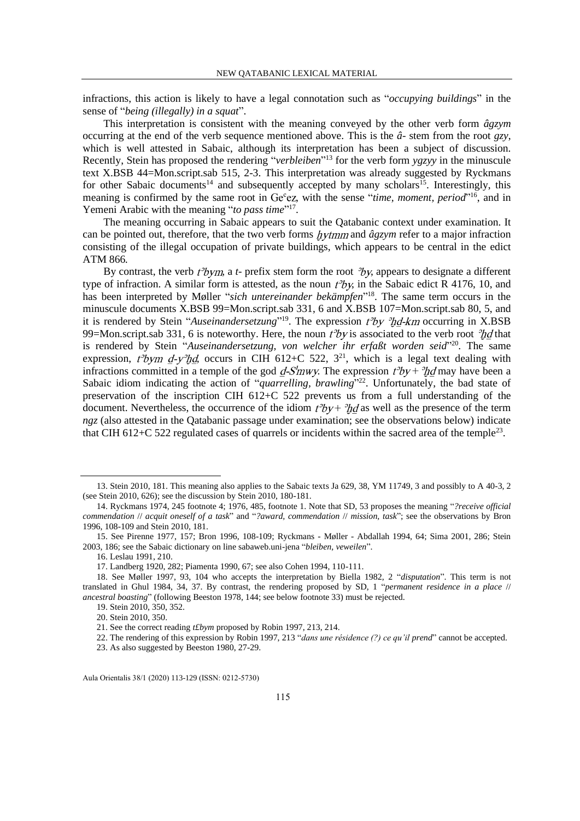infractions, this action is likely to have a legal connotation such as "*occupying buildings*" in the sense of "*being (illegally) in a squat*".

This interpretation is consistent with the meaning conveyed by the other verb form *âgzym*  occurring at the end of the verb sequence mentioned above. This is the *â*- stem from the root *gzy*, which is well attested in Sabaic, although its interpretation has been a subject of discussion. Recently, Stein has proposed the rendering "*verbleiben*" <sup>13</sup> for the verb form *ygzyy* in the minuscule text X.BSB 44=Mon.script.sab 515, 2-3. This interpretation was already suggested by Ryckmans for other Sabaic documents<sup>14</sup> and subsequently accepted by many scholars<sup>15</sup>. Interestingly, this meaning is confirmed by the same root in Ge<sup>c</sup>ez, with the sense "*time, moment, period*"<sup>16</sup>, and in Yemeni Arabic with the meaning "to pass time"<sup>17</sup>.

The meaning occurring in Sabaic appears to suit the Qatabanic context under examination. It can be pointed out, therefore, that the two verb forms *hytmm* and  $\hat{a}gzym$  refer to a major infraction consisting of the illegal occupation of private buildings, which appears to be central in the edict ATM 866*.*

By contrast, the verb  $t^3$ bym, a *t*- prefix stem form the root  $y^3$ y, appears to designate a different type of infraction. A similar form is attested, as the noun  $t^3y$ , in the Sabaic edict R 4176, 10, and has been interpreted by Møller "*sich untereinander bekämpfen*" <sup>18</sup>. The same term occurs in the minuscule documents X.BSB 99=Mon.script.sab 331, 6 and X.BSB 107=Mon.script.sab 80, 5, and it is rendered by Stein "*Auseinandersetzung*"<sup>19</sup>. The expression  $t^2$ by  $\partial t$ *d-km* occurring in X.BSB 99=Mon.script.sab 331, 6 is noteworthy. Here, the noun  $t^3y$  is associated to the verb root  $\partial t/d$  that is rendered by Stein "*Auseinandersetzung, von welcher ihr erfaßt worden seid*" <sup>20</sup>. The same expression,  $t^3$ bym  $d-y^3$ hd, occurs in CIH 612+C 522, 3<sup>21</sup>, which is a legal text dealing with infractions committed in a temple of the god d-S'mwy. The expression  $t^3by + {}^3hd$  may have been a Sabaic idiom indicating the action of "*quarrelling, brawling*"<sup>22</sup>. Unfortunately, the bad state of preservation of the inscription CIH 612+C 522 prevents us from a full understanding of the document. Nevertheless, the occurrence of the idiom  $t^3by + \partial t^3y$  as well as the presence of the term *ngz* (also attested in the Qatabanic passage under examination; see the observations below) indicate that CIH 612+C 522 regulated cases of quarrels or incidents within the sacred area of the temple<sup>23</sup>.

<sup>13.</sup> Stein 2010, 181. This meaning also applies to the Sabaic texts Ja 629, 38, YM 11749, 3 and possibly to A 40-3, 2 (see Stein 2010, 626); see the discussion by Stein 2010, 180-181.

<sup>14.</sup> Ryckmans 1974, 245 footnote 4; 1976, 485, footnote 1. Note that SD, 53 proposes the meaning "*?receive official commendation* // *acquit oneself of a task*" and "*?award, commendation* // *mission, task*"; see the observations by Bron 1996, 108-109 and Stein 2010, 181.

<sup>15.</sup> See Pirenne 1977, 157; Bron 1996, 108-109; Ryckmans - Møller - Abdallah 1994, 64; Sima 2001, 286; Stein 2003, 186; see the Sabaic dictionary on line sabaweb.uni-jena "*bleiben, veweilen*".

<sup>16.</sup> Leslau 1991, 210.

<sup>17.</sup> Landberg 1920, 282; Piamenta 1990, 67; see also Cohen 1994, 110-111.

<sup>18.</sup> See Møller 1997, 93, 104 who accepts the interpretation by Biella 1982, 2 "*disputation*". This term is not translated in Ghul 1984, 34, 37. By contrast, the rendering proposed by SD, 1 "*permanent residence in a place* // *ancestral boasting*" (following Beeston 1978, 144; see below footnote 33) must be rejected.

<sup>19.</sup> Stein 2010, 350, 352.

<sup>20.</sup> Stein 2010, 350.

<sup>21.</sup> See the correct reading *t£bym* proposed by Robin 1997, 213, 214.

<sup>22.</sup> The rendering of this expression by Robin 1997, 213 "*dans une résidence (?) ce qu'il prend*" cannot be accepted.

<sup>23.</sup> As also suggested by Beeston 1980, 27-29.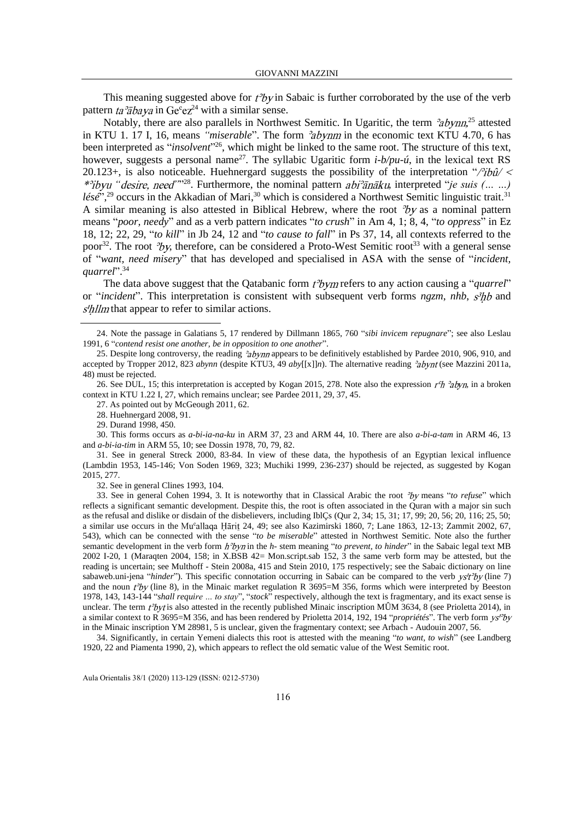This meaning suggested above for  $t^2b$ y in Sabaic is further corroborated by the use of the verb pattern ta<sup>3</sup> $\bar{a}$ baya in Ge<sup>c</sup>ez<sup>24</sup> with a similar sense.

Notably, there are also parallels in Northwest Semitic. In Ugaritic, the term  $\partial_a$  abynn,<sup>25</sup> attested in KTU 1. 17 I, 16, means *"miserable"*. The form *abynm* in the economic text KTU 4.70, 6 has been interpreted as "*insolvent*"<sup>26</sup>, which might be linked to the same root. The structure of this text, however, suggests a personal name<sup>27</sup>. The syllabic Ugaritic form  $i-b/pu-\hat{u}$ , in the lexical text RS 20.123+, is also noticeable. Huehnergard suggests the possibility of the interpretation "/ $\partial \hat{u}$  / *"desire, need"*"<sup>28</sup>. Furthermore, the nominal pattern *abi<sup>3</sup>anaku*, interpreted "*je suis* (... ...) *lésé*",<sup>29</sup> occurs in the Akkadian of Mari,<sup>30</sup> which is considered a Northwest Semitic linguistic trait.<sup>31</sup> A similar meaning is also attested in Biblical Hebrew, where the root  $v^2b$  as a nominal pattern means "*poor, needy*" and as a verb pattern indicates "*to crush*" in Am 4, 1; 8, 4, "*to oppress*" in Ez 18, 12; 22, 29, "*to kill*" in Jb 24, 12 and "*to cause to fall*" in Ps 37, 14, all contexts referred to the poor<sup>32</sup>. The root  $\partial y$ , therefore, can be considered a Proto-West Semitic root<sup>33</sup> with a general sense of "*want, need misery*" that has developed and specialised in ASA with the sense of "*incident, quarrel*". 34

The data above suggest that the Qatabanic form  $t^3$ *bym* refers to any action causing a "*quarrel*" or "*incident*". This interpretation is consistent with subsequent verb forms *ngzm*, *nhb*,  $s^3$ hb and  $s$ <sup>th</sup>llm that appear to refer to similar actions.

29. Durand 1998, 450.

30. This forms occurs as *a-bi-ia-na-ku* in ARM 37, 23 and ARM 44, 10. There are also *a-bi-a-tam* in ARM 46, 13 and *a-bi-ia-tim* in ARM 55, 10; see Dossin 1978, 70, 79, 82.

32. See in general Clines 1993, 104.

33. See in general Cohen 1994, 3. It is noteworthy that in Classical Arabic the root means "*to refuse*" which reflects a significant semantic development. Despite this, the root is often associated in the Quran with a major sin such as the refusal and dislike or disdain of the disbelievers, including IblÇs (Qur 2, 34; 15, 31; 17, 99; 20, 56; 20, 116; 25, 50; a similar use occurs in the Mu<sup>c</sup>allaga Hārit 24, 49; see also Kazimirski 1860, 7; Lane 1863, 12-13; Zammit 2002, 67, 543), which can be connected with the sense "*to be miserable*" attested in Northwest Semitic. Note also the further semantic development in the verb form  $h^2$ byn in the h- stem meaning "to prevent, to hinder" in the Sabaic legal text MB 2002 I-20, 1 (Maraqten 2004, 158; in X.BSB 42= Mon.script.sab 152, 3 the same verb form may be attested, but the reading is uncertain; see Multhoff - Stein 2008a, 415 and Stein 2010, 175 respectively; see the Sabaic dictionary on line sabaweb.uni-jena "*hinder*"). This specific connotation occurring in Sabaic can be compared to the verb ys't<sup>2</sup>by (line 7) and the noun  $t^3$ by (line 8), in the Minaic market regulation R 3695=M 356, forms which were interpreted by Beeston 1978, 143, 143-144 "*shall require … to stay*", "*stock*" respectively, although the text is fragmentary, and its exact sense is unclear. The term  $t^3$ byt is also attested in the recently published Minaic inscription MÛM 3634, 8 (see Prioletta 2014), in a similar context to R 3695=M 356, and has been rendered by Prioletta 2014, 192, 194 "*propriétés*". The verb form in the Minaic inscription YM 28981, 5 is unclear, given the fragmentary context; see Arbach - Audouin 2007, 56.

34. Significantly, in certain Yemeni dialects this root is attested with the meaning "*to want, to wish*" (see Landberg 1920, 22 and Piamenta 1990, 2), which appears to reflect the old sematic value of the West Semitic root.

<sup>24.</sup> Note the passage in Galatians 5, 17 rendered by Dillmann 1865, 760 "*sibi invicem repugnare*"; see also Leslau 1991, 6 "*contend resist one another, be in opposition to one another*".

<sup>25.</sup> Despite long controversy, the reading  $a$  by  $n$  appears to be definitively established by Pardee 2010, 906, 910, and accepted by Tropper 2012, 823 *abynn* (despite KTU3, 49 *aby*[[x]]*n*). The alternative reading 'abynt (see Mazzini 2011a, 48) must be rejected.

<sup>26.</sup> See DUL, 15; this interpretation is accepted by Kogan 2015, 278. Note also the expression  $r'h$   $\partial_t \partial_t y_n$ , in a broken context in KTU 1.22 I, 27, which remains unclear; see Pardee 2011, 29, 37, 45.

<sup>27.</sup> As pointed out by McGeough 2011, 62.

<sup>28.</sup> Huehnergard 2008, 91.

<sup>31.</sup> See in general Streck 2000, 83-84. In view of these data, the hypothesis of an Egyptian lexical influence (Lambdin 1953, 145-146; Von Soden 1969, 323; Muchiki 1999, 236-237) should be rejected, as suggested by Kogan 2015, 277.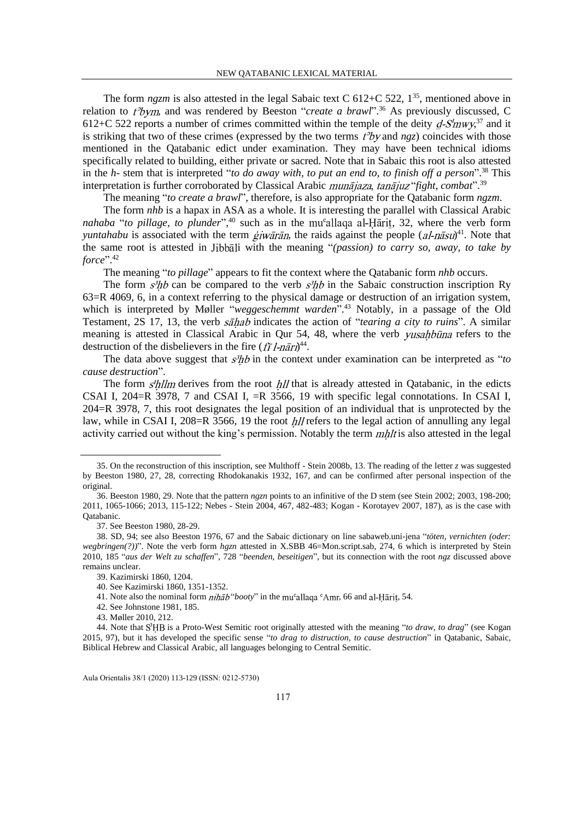The form  $ngzm$  is also attested in the legal Sabaic text C 612+C 522,  $1^{35}$ , mentioned above in relation to  $t^3$ bym, and was rendered by Beeston "*create a brawl*".<sup>36</sup> As previously discussed, C 612+C 522 reports a number of crimes committed within the temple of the deity  $dS/mwy^{37}$  and it is striking that two of these crimes (expressed by the two terms  $t^3b$  *v* and *ngz*) coincides with those mentioned in the Qatabanic edict under examination. They may have been technical idioms specifically related to building, either private or sacred. Note that in Sabaic this root is also attested in the *h*- stem that is interpreted "*to do away with, to put an end to, to finish off a person*". <sup>38</sup> This interpretation is further corroborated by Classical Arabic *munājaza*, tanājuz "fight, combat".<sup>39</sup>

The meaning "*to create a brawl*", therefore, is also appropriate for the Qatabanic form *ngzm*.

The form *nhb* is a hapax in ASA as a whole. It is interesting the parallel with Classical Arabic *nahaba* "to pillage, to plunder",<sup>40</sup> such as in the mu<sup>c</sup>allaga al-Harit, 32, where the verb form *yuntahabu* is associated with the term  $\frac{e}{\dot{\mu}}$  *iwaran*, the raids against the people  $(aI-n\bar{a}su)^{41}$ . Note that the same root is attested in Jibbali with the meaning "*(passion) to carry so, away, to take by force*". 42

The meaning "*to pillage*" appears to fit the context where the Qatabanic form *nhb* occurs.

The form  $s^3$ hb can be compared to the verb  $s^3$ hb in the Sabaic construction inscription Ry 63=R 4069, 6, in a context referring to the physical damage or destruction of an irrigation system, which is interpreted by Møller "*weggeschemmt warden*". <sup>43</sup> Notably, in a passage of the Old Testament, 2S 17, 13, the verb *sahab* indicates the action of "*tearing a city to ruins*". A similar meaning is attested in Classical Arabic in Qur 54, 48, where the verb *yusahbūna* refers to the destruction of the disbelievers in the fire  $(f\bar{f}$  *l*-nari)<sup>44</sup>.

The data above suggest that  $s^3$ hb in the context under examination can be interpreted as "*to cause destruction*".

The form  $s'$ hllm derives from the root hll that is already attested in Qatabanic, in the edicts CSAI I, 204=R 3978, 7 and CSAI I, =R 3566, 19 with specific legal connotations. In CSAI I, 204=R 3978, 7, this root designates the legal position of an individual that is unprotected by the law, while in CSAI I,  $208=R$  3566, 19 the root  $h/l$  refers to the legal action of annulling any legal activity carried out without the king's permission. Notably the term  $mhl$  is also attested in the legal

<sup>35.</sup> On the reconstruction of this inscription, see Multhoff - Stein 2008b, 13. The reading of the letter *z* was suggested by Beeston 1980, 27, 28, correcting Rhodokanakis 1932, 167, and can be confirmed after personal inspection of the original.

<sup>36.</sup> Beeston 1980, 29. Note that the pattern *ngzn* points to an infinitive of the D stem (see Stein 2002; 2003, 198-200; 2011, 1065-1066; 2013, 115-122; Nebes - Stein 2004, 467, 482-483; Kogan - Korotayev 2007, 187), as is the case with Qatabanic.

<sup>37.</sup> See Beeston 1980, 28-29.

<sup>38.</sup> SD, 94; see also Beeston 1976, 67 and the Sabaic dictionary on line sabaweb.uni-jena "*töten, vernichten (oder: wegbringen(?))*". Note the verb form *hgzn* attested in X.SBB 46=Mon.script.sab, 274, 6 which is interpreted by Stein 2010, 185 "*aus der Welt zu schaffen*", 728 "*beenden, beseitigen*", but its connection with the root *ngz* discussed above remains unclear.

<sup>39.</sup> Kazimirski 1860, 1204.

<sup>40.</sup> See Kazimirski 1860, 1351-1352.

<sup>41.</sup> Note also the nominal form *nihab* "*booty*" in the mu<sup>c</sup>allaga <sup>c</sup>Amr, 66 and al-Harit, 54.

<sup>42.</sup> See Johnstone 1981, 185.

<sup>43.</sup> Møller 2010, 212.

<sup>44.</sup> Note that S<sup>3</sup>HB is a Proto-West Semitic root originally attested with the meaning "*to draw, to drag*" (see Kogan 2015, 97), but it has developed the specific sense "*to drag to distruction, to cause destruction*" in Qatabanic, Sabaic, Biblical Hebrew and Classical Arabic, all languages belonging to Central Semitic.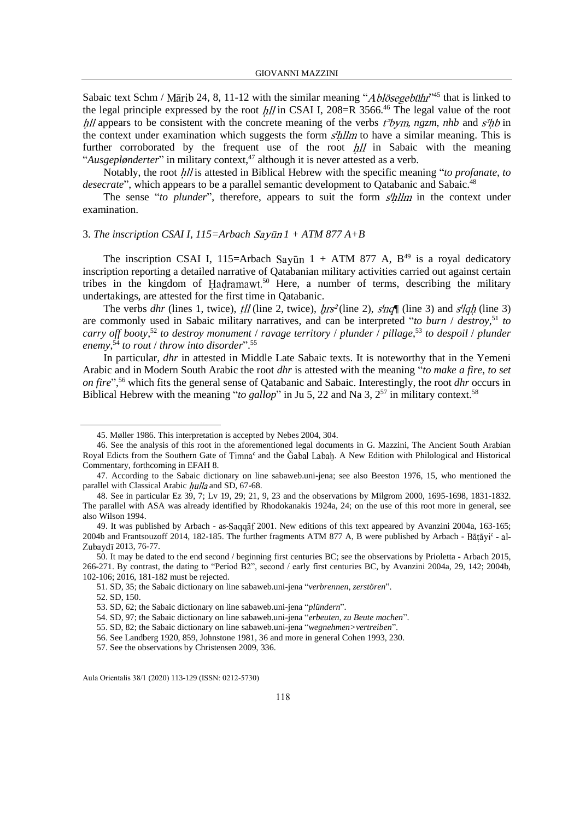Sabaic text Schm / Mārib 24, 8, 11-12 with the similar meaning " $Abl\ddot{o}segebi\dot{h}r^{45}$  that is linked to the legal principle expressed by the root  $hll$  in CSAI I, 208=R 3566.<sup>46</sup> The legal value of the root hll appears to be consistent with the concrete meaning of the verbs  $t^3$ bym, ngzm, nhb and  $s^3$ hb in the context under examination which suggests the form *s'hllm* to have a similar meaning. This is further corroborated by the frequent use of the root  $h/l$  in Sabaic with the meaning "*Ausgeplønderter*" in military context, <sup>47</sup> although it is never attested as a verb.

Notably, the root *hll* is attested in Biblical Hebrew with the specific meaning "*to profanate, to* desecrate", which appears to be a parallel semantic development to Qatabanic and Sabaic.<sup>48</sup>

The sense "*to plunder*", therefore, appears to suit the form *s'hllm* in the context under examination.

#### 3. The inscription CSAI I,  $115 =$ Arbach Sayūn  $1 + ATM$  877  $A+B$

The inscription CSAI I, 115=Arbach Sayūn  $1 + ATM$  877 A,  $B<sup>49</sup>$  is a royal dedicatory inscription reporting a detailed narrative of Qatabanian military activities carried out against certain tribes in the kingdom of Hadramawt.<sup>50</sup> Here, a number of terms, describing the military undertakings, are attested for the first time in Qatabanic.

The verbs *dhr* (lines 1, twice),  $\frac{t}{l}$  (line 2, twice),  $\frac{h}{s^2}$  (line 2),  $\frac{s}{n}$  (line 3) and  $\frac{s}{gh}$  (line 3) are commonly used in Sabaic military narratives, and can be interpreted "*to burn* / *destroy*, <sup>51</sup> *to carry off booty*, <sup>52</sup> *to destroy monument* / *ravage territory* / *plunder* / *pillage*, <sup>53</sup> *to despoil* / *plunder enemy*, <sup>54</sup> *to rout* / *throw into disorder*". 55

In particular, *dhr* in attested in Middle Late Sabaic texts. It is noteworthy that in the Yemeni Arabic and in Modern South Arabic the root *dhr* is attested with the meaning "*to make a fire, to set on fire*", <sup>56</sup> which fits the general sense of Qatabanic and Sabaic. Interestingly, the root *dhr* occurs in Biblical Hebrew with the meaning "*to gallop*" in Ju 5, 22 and Na 3,  $2^{57}$  in military context.<sup>58</sup>

<sup>45.</sup> Møller 1986. This interpretation is accepted by Nebes 2004, 304.

<sup>46.</sup> See the analysis of this root in the aforementioned legal documents in G. Mazzini, The Ancient South Arabian Royal Edicts from the Southern Gate of Timna<sup>c</sup> and the Gabal Labah. A New Edition with Philological and Historical Commentary, forthcoming in EFAH 8.

<sup>47.</sup> According to the Sabaic dictionary on line sabaweb.uni-jena; see also Beeston 1976, 15, who mentioned the parallel with Classical Arabic hulla and SD, 67-68.

<sup>48.</sup> See in particular Ez 39, 7; Lv 19, 29; 21, 9, 23 and the observations by Milgrom 2000, 1695-1698, 1831-1832. The parallel with ASA was already identified by Rhodokanakis 1924a, 24; on the use of this root more in general, see also Wilson 1994.

<sup>49.</sup> It was published by Arbach - as-Saqqaf 2001. New editions of this text appeared by Avanzini 2004a, 163-165; 2004b and Frantsouzoff 2014, 182-185. The further fragments ATM 877 A, B were published by Arbach - Zubaydī 2013, 76-77.

<sup>50.</sup> It may be dated to the end second / beginning first centuries BC; see the observations by Prioletta - Arbach 2015, 266-271. By contrast, the dating to "Period B2", second / early first centuries BC, by Avanzini 2004a, 29, 142; 2004b, 102-106; 2016, 181-182 must be rejected.

<sup>51.</sup> SD, 35; the Sabaic dictionary on line sabaweb.uni-jena "*verbrennen, zerstören*".

<sup>52.</sup> SD, 150.

<sup>53.</sup> SD, 62; the Sabaic dictionary on line sabaweb.uni-jena "*plündern*".

<sup>54.</sup> SD, 97; the Sabaic dictionary on line sabaweb.uni-jena "*erbeuten, zu Beute machen*".

<sup>55.</sup> SD, 82; the Sabaic dictionary on line sabaweb.uni-jena "*wegnehmen>vertreiben*".

<sup>56.</sup> See Landberg 1920, 859, Johnstone 1981, 36 and more in general Cohen 1993, 230.

<sup>57.</sup> See the observations by Christensen 2009, 336.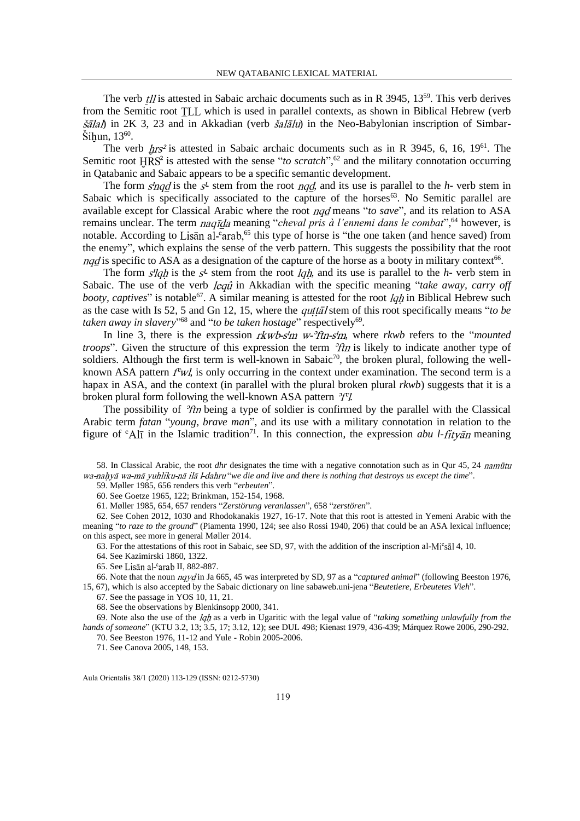The verb  $t$ // is attested in Sabaic archaic documents such as in R 3945, 13<sup>59</sup>. This verb derives from the Semitic root TLL which is used in parallel contexts, as shown in Biblical Hebrew (verb  $\delta$ alah) in 2K 3, 23 and in Akkadian (verb  $\delta$ alalu) in the Neo-Babylonian inscription of Simbar-, 13<sup>60</sup> .

The verb  $hrs^2$  is attested in Sabaic archaic documents such as in R 3945, 6, 16, 19<sup>61</sup>. The Semitic root  $HRS^2$  is attested with the sense "*to scratch*",<sup>62</sup> and the military connotation occurring in Qatabanic and Sabaic appears to be a specific semantic development.

The form  $s'$ ngd is the  $s'$ - stem from the root ngd, and its use is parallel to the  $h$ - verb stem in Sabaic which is specifically associated to the capture of the horses<sup>63</sup>. No Semitic parallel are available except for Classical Arabic where the root *ngd* means "*to save*", and its relation to ASA remains unclear. The term *naqīda* meaning "*cheval pris à l'ennemi dans le combat*",<sup>64</sup> however, is notable. According to Lisan al-'arab,<sup>65</sup> this type of horse is "the one taken (and hence saved) from the enemy", which explains the sense of the verb pattern. This suggests the possibility that the root is specific to ASA as a designation of the capture of the horse as a booty in military context $66$ .

The form  $s'$ lah is the  $s'$  stem from the root *lah*, and its use is parallel to the *h*- verb stem in Sabaic. The use of the verb *lequ* in Akkadian with the specific meaning "take away, carry off *booty, captives*" is notable<sup>67</sup>. A similar meaning is attested for the root *lqh* in Biblical Hebrew such as the case with Is 52, 5 and Gn 12, 15, where the *quttal* stem of this root specifically means "*to be* taken away in slavery"<sup>68</sup> and "to be taken hostage" respectively<sup>69</sup>.

In line 3, there is the expression *rkwb-s'm w-'ftn-s'm*, where *rkwb* refers to the "*mounted troops*". Given the structure of this expression the term  $\partial f/\partial x$  is likely to indicate another type of soldiers. Although the first term is well-known in Sabaic<sup>70</sup>, the broken plural, following the wellknown ASA pattern  $f^c w l$ , is only occurring in the context under examination. The second term is a hapax in ASA, and the context (in parallel with the plural broken plural *rkwb*) suggests that it is a broken plural form following the well-known ASA pattern  $^3T$ .

The possibility of  $\partial f$  being a type of soldier is confirmed by the parallel with the Classical Arabic term *fatan* "*young, brave man*", and its use with a military connotation in relation to the figure of  ${}^c$ Al<sub>1</sub> in the Islamic tradition<sup>71</sup>. In this connection, the expression *abu l-fityan* meaning

58. In Classical Arabic, the root *dhr* designates the time with a negative connotation such as in Qur 45, 24 "*we die and live and there is nothing that destroys us except the time*".

59. Møller 1985, 656 renders this verb "*erbeuten*".

60. See Goetze 1965, 122; Brinkman, 152-154, 1968.

61. Møller 1985, 654, 657 renders "*Zerstörung veranlassen*", 658 "*zerstören*".

62. See Cohen 2012, 1030 and Rhodokanakis 1927, 16-17. Note that this root is attested in Yemeni Arabic with the meaning "*to raze to the ground*" (Piamenta 1990, 124; see also Rossi 1940, 206) that could be an ASA lexical influence; on this aspect, see more in general Møller 2014.

63. For the attestations of this root in Sabaic, see SD, 97, with the addition of the inscription al-Mi°sāl 4, 10.

64. See Kazimirski 1860, 1322.

65. See Lisān al-carab II, 882-887.

66. Note that the noun *nqyd* in Ja 665, 45 was interpreted by SD, 97 as a "*captured animal*" (following Beeston 1976, 15, 67), which is also accepted by the Sabaic dictionary on line sabaweb.uni-jena "*Beutetiere, Erbeutetes Vieh*".

67. See the passage in YOS 10, 11, 21.

68. See the observations by Blenkinsopp 2000, 341.

69. Note also the use of the *lgh* as a verb in Ugaritic with the legal value of "*taking something unlawfully from the hands of someone*" (KTU 3.2, 13; 3.5, 17; 3.12, 12); see DUL 498; Kienast 1979, 436-439; Márquez Rowe 2006, 290-292.

70. See Beeston 1976, 11-12 and Yule - Robin 2005-2006. 71. See Canova 2005, 148, 153.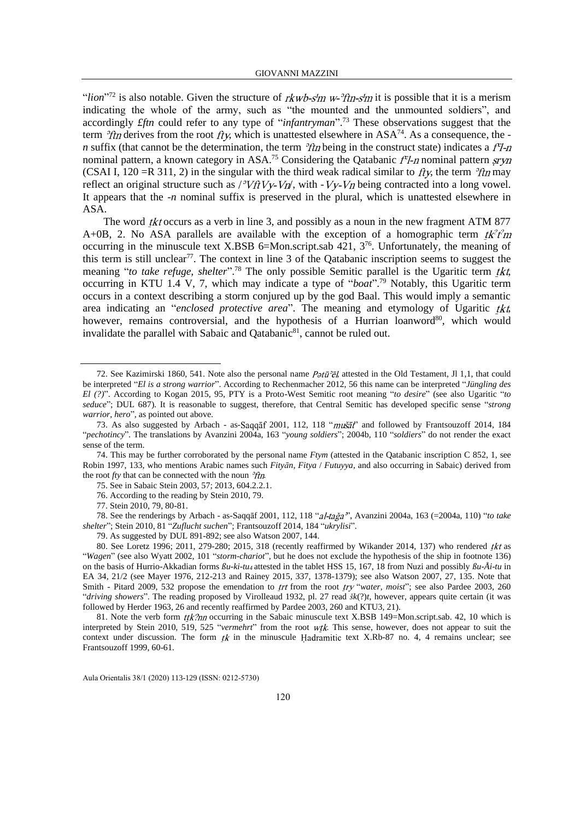"*lion*"<sup>72</sup> is also notable. Given the structure of  $rkwb\text{-}sim$  w- $\text{?fn}\text{-}s'm$  it is possible that it is a merism indicating the whole of the army, such as "the mounted and the unmounted soldiers", and accordingly *£ftn* could refer to any type of "*infantryman*". <sup>73</sup> These observations suggest that the term  $\partial f$ th derives from the root  $f$ ty, which is unattested elsewhere in ASA<sup>74</sup>. As a consequence, the *n* suffix (that cannot be the determination, the term  $\partial f$ *n* being in the construct state) indicates a  $f^2$ -*n* nominal pattern, a known category in ASA.<sup>75</sup> Considering the Qatabanic  $f^cI$ -*n* nominal pattern (CSAI I, 120 = R 311, 2) in the singular with the third weak radical similar to  $f(x)$  the term  $\frac{\partial f}{\partial n}$  may reflect an original structure such as  $\frac{\partial V}{\partial V} - V \eta$ , with  $\frac{\partial V}{\partial V} - V \eta$  being contracted into a long vowel. It appears that the -*n* nominal suffix is preserved in the plural, which is unattested elsewhere in ASA.

The word *tkt* occurs as a verb in line 3, and possibly as a noun in the new fragment ATM 877 A+0B, 2. No ASA parallels are available with the exception of a homographic term  $tk^2$ fm occurring in the minuscule text X.BSB 6=Mon.script.sab 421, 3<sup>76</sup>. Unfortunately, the meaning of this term is still unclear<sup>77</sup>. The context in line  $3$  of the Qatabanic inscription seems to suggest the meaning "to take refuge, shelter".<sup>78</sup> The only possible Semitic parallel is the Ugaritic term tkt, occurring in KTU 1.4 V, 7, which may indicate a type of "*boat*". <sup>79</sup> Notably, this Ugaritic term occurs in a context describing a storm conjured up by the god Baal. This would imply a semantic area indicating an "*enclosed protective area*". The meaning and etymology of Ugaritic tkt, however, remains controversial, and the hypothesis of a Hurrian loanword<sup>80</sup>, which would invalidate the parallel with Sabaic and Qatabanic<sup>81</sup>, cannot be ruled out.

<sup>72.</sup> See Kazimirski 1860, 541. Note also the personal name  $P\sigma t\bar{u}^2\bar{\sigma}l$ , attested in the Old Testament, Jl 1,1, that could be interpreted "*El is a strong warrior*". According to Rechenmacher 2012, 56 this name can be interpreted "*Jüngling des El (?)*". According to Kogan 2015, 95, PTY is a Proto-West Semitic root meaning "*to desire*" (see also Ugaritic "*to seduce*"; DUL 687). It is reasonable to suggest, therefore, that Central Semitic has developed specific sense "*strong warrior, hero*", as pointed out above.

<sup>73.</sup> As also suggested by Arbach - as-Saqqaf 2001, 112, 118 "mušāt" and followed by Frantsouzoff 2014, 184 "*pechotincy*". The translations by Avanzini 2004a, 163 "*young soldiers*"; 2004b, 110 "*soldiers*" do not render the exact sense of the term.

<sup>74.</sup> This may be further corroborated by the personal name *Ftym* (attested in the Qatabanic inscription C 852, 1, see Robin 1997, 133, who mentions Arabic names such *Fityān*, *Fitya* / *Futuyya*, and also occurring in Sabaic) derived from the root  $fty$  that can be connected with the noun  $^3$ ftn.

<sup>75.</sup> See in Sabaic Stein 2003, 57; 2013, 604.2.2.1.

<sup>76.</sup> According to the reading by Stein 2010, 79.

<sup>77.</sup> Stein 2010, 79, 80-81.

<sup>78.</sup> See the renderings by Arbach - as-Saqqāf 2001, 112, 118 "al-tağa", Avanzini 2004a, 163 (=2004a, 110) "to take *shelter*"; Stein 2010, 81 "*Zuflucht suchen*"; Frantsouzoff 2014, 184 "*ukrylisi*".

<sup>79.</sup> As suggested by DUL 891-892; see also Watson 2007, 144.

<sup>80.</sup> See Loretz 1996; 2011, 279-280; 2015, 318 (recently reaffirmed by Wikander 2014, 137) who rendered tkt as "*Wagen*" (see also Wyatt 2002, 101 "*storm-chariot*", but he does not exclude the hypothesis of the ship in footnote 136) on the basis of Hurrio-Akkadian forms *ßu-ki-tu<sup>4</sup>* attested in the tablet HSS 15, 167, 18 from Nuzi and possibly *ßu-Åi-tu* in EA 34, 21/2 (see Mayer 1976, 212-213 and Rainey 2015, 337, 1378-1379); see also Watson 2007, 27, 135. Note that Smith - Pitard 2009, 532 propose the emendation to *trt* from the root *try* "water, moist"; see also Pardee 2003, 260 "*driving showers*". The reading proposed by Virolleaud 1932, pl. 27 read *šk*(?)*t*, however, appears quite certain (it was followed by Herder 1963, 26 and recently reaffirmed by Pardee 2003, 260 and KTU3, 21).

<sup>81.</sup> Note the verb form  $ttk?nn$  occurring in the Sabaic minuscule text X.BSB 149=Mon.script.sab. 42, 10 which is interpreted by Stein 2010, 519, 525 "*vermehrt*" from the root wtk. This sense, however, does not appear to suit the context under discussion. The form  $tk$  in the minuscule Hadramitic text X.Rb-87 no. 4, 4 remains unclear; see Frantsouzoff 1999, 60-61.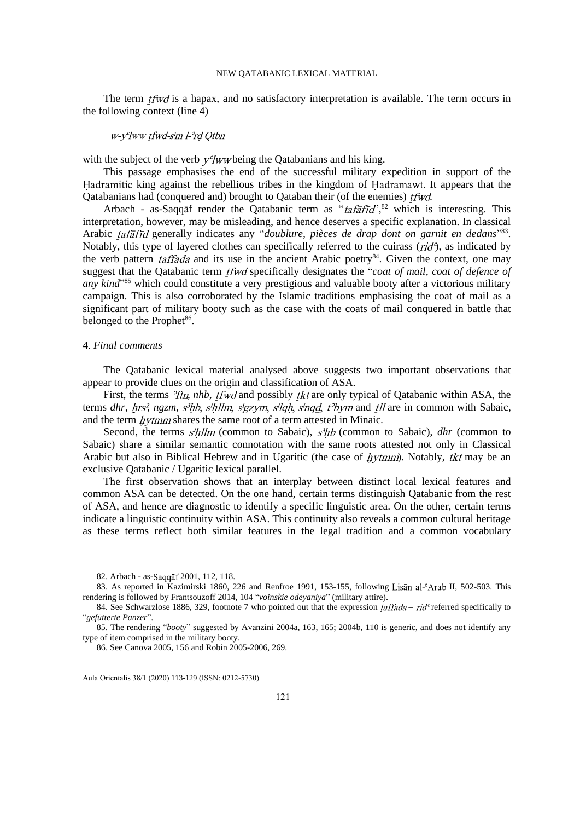The term  $t \bar{t} w d$  is a hapax, and no satisfactory interpretation is available. The term occurs in the following context (line 4)

# w-y'lww tfwd-s'm l-'rd Qtbn

with the subject of the verb  $y^c$ /*ww* being the Qatabanians and his king.

This passage emphasises the end of the successful military expedition in support of the Hadramitic king against the rebellious tribes in the kingdom of Hadramawt. It appears that the Qatabanians had (conquered and) brought to Qataban their (of the enemies) *tfwd*.

Arbach - as-Saqqāf render the Qatabanic term as " $ta\bar{t}d\bar{t}d$ ",  $82$  which is interesting. This interpretation, however, may be misleading, and hence deserves a specific explanation. In classical Arabic *tafāfīd* generally indicates any "*doublure, pièces de drap dont on garnit en dedans*"<sup>83</sup>. Notably, this type of layered clothes can specifically referred to the cuirass  $(rid^6)$ , as indicated by the verb pattern *taffada* and its use in the ancient Arabic poetry<sup>84</sup>. Given the context, one may suggest that the Qatabanic term *tfwd* specifically designates the "*coat of mail, coat of defence of* any kind<sup>"85</sup> which could constitute a very prestigious and valuable booty after a victorious military campaign. This is also corroborated by the Islamic traditions emphasising the coat of mail as a significant part of military booty such as the case with the coats of mail conquered in battle that belonged to the Prophet<sup>86</sup>.

#### 4. *Final comments*

The Qatabanic lexical material analysed above suggests two important observations that appear to provide clues on the origin and classification of ASA.

First, the terms *Ith, nhb, tfwd* and possibly *tkt* are only typical of Qatabanic within ASA, the terms *dhr*, *hrs<sup>2</sup>*, *ngzm*, *s<sup>3</sup>hb*, *s'hllm*, *s'gzym*, *s'lgh*, *s'ngd*, *t*<sup>3</sup>*bym* and *tll* are in common with Sabaic, and the term *hytmm* shares the same root of a term attested in Minaic.

Second, the terms  $s'hllm$  (common to Sabaic),  $s^3hb$  (common to Sabaic), *dhr* (common to Sabaic) share a similar semantic connotation with the same roots attested not only in Classical Arabic but also in Biblical Hebrew and in Ugaritic (the case of  $hvtmm$ ). Notably, tkt may be an exclusive Qatabanic / Ugaritic lexical parallel.

The first observation shows that an interplay between distinct local lexical features and common ASA can be detected. On the one hand, certain terms distinguish Qatabanic from the rest of ASA, and hence are diagnostic to identify a specific linguistic area. On the other, certain terms indicate a linguistic continuity within ASA. This continuity also reveals a common cultural heritage as these terms reflect both similar features in the legal tradition and a common vocabulary

<sup>82.</sup> Arbach - as-Saqqāf 2001, 112, 118.

<sup>83.</sup> As reported in Kazimirski 1860, 226 and Renfroe 1991, 153-155, following Lisān al-<sup>c</sup>Arab II, 502-503. This rendering is followed by Frantsouzoff 2014, 104 "*voinskie odeyaniya*" (military attire).

<sup>84.</sup> See Schwarzlose 1886, 329, footnote 7 who pointed out that the expression *taffada* +  $rid<sup>c</sup>$  referred specifically to "*gefütterte Panzer*".

<sup>85.</sup> The rendering "*booty*" suggested by Avanzini 2004a, 163, 165; 2004b, 110 is generic, and does not identify any type of item comprised in the military booty.

<sup>86.</sup> See Canova 2005, 156 and Robin 2005-2006, 269.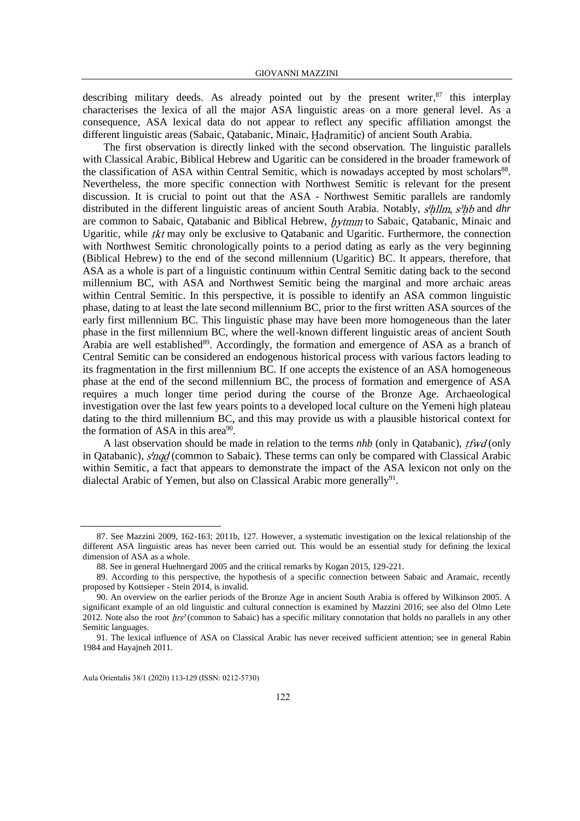describing military deeds. As already pointed out by the present writer, $87$  this interplay characterises the lexica of all the major ASA linguistic areas on a more general level. As a consequence, ASA lexical data do not appear to reflect any specific affiliation amongst the different linguistic areas (Sabaic, Oatabanic, Minaic, Hadramitic) of ancient South Arabia.

The first observation is directly linked with the second observation. The linguistic parallels with Classical Arabic, Biblical Hebrew and Ugaritic can be considered in the broader framework of the classification of ASA within Central Semitic, which is nowadays accepted by most scholars<sup>88</sup>. Nevertheless, the more specific connection with Northwest Semitic is relevant for the present discussion. It is crucial to point out that the ASA - Northwest Semitic parallels are randomly distributed in the different linguistic areas of ancient South Arabia. Notably, s'hllm, s<sup>3</sup>hb and dhr are common to Sabaic, Oatabanic and Biblical Hebrew, *hytmm* to Sabaic, Oatabanic, Minaic and Ugaritic, while  $tkt$  may only be exclusive to Qatabanic and Ugaritic. Furthermore, the connection with Northwest Semitic chronologically points to a period dating as early as the very beginning (Biblical Hebrew) to the end of the second millennium (Ugaritic) BC. It appears, therefore, that ASA as a whole is part of a linguistic continuum within Central Semitic dating back to the second millennium BC, with ASA and Northwest Semitic being the marginal and more archaic areas within Central Semitic. In this perspective, it is possible to identify an ASA common linguistic phase, dating to at least the late second millennium BC, prior to the first written ASA sources of the early first millennium BC. This linguistic phase may have been more homogeneous than the later phase in the first millennium BC, where the well-known different linguistic areas of ancient South Arabia are well established<sup>89</sup>. Accordingly, the formation and emergence of ASA as a branch of Central Semitic can be considered an endogenous historical process with various factors leading to its fragmentation in the first millennium BC. If one accepts the existence of an ASA homogeneous phase at the end of the second millennium BC, the process of formation and emergence of ASA requires a much longer time period during the course of the Bronze Age. Archaeological investigation over the last few years points to a developed local culture on the Yemeni high plateau dating to the third millennium BC, and this may provide us with a plausible historical context for the formation of ASA in this area $90$ .

A last observation should be made in relation to the terms *nhb* (only in Qatabanic), *tfwd* (only in Oatabanic),  $\frac{d}{d}$  (common to Sabaic). These terms can only be compared with Classical Arabic within Semitic, a fact that appears to demonstrate the impact of the ASA lexicon not only on the dialectal Arabic of Yemen, but also on Classical Arabic more generally<sup>91</sup>.

<sup>87.</sup> See Mazzini 2009, 162-163; 2011b, 127. However, a systematic investigation on the lexical relationship of the different ASA linguistic areas has never been carried out. This would be an essential study for defining the lexical dimension of ASA as a whole.

<sup>88.</sup> See in general Huehnergard 2005 and the critical remarks by Kogan 2015, 129-221.

<sup>89.</sup> According to this perspective, the hypothesis of a specific connection between Sabaic and Aramaic, recently proposed by Kottsieper - Stein 2014, is invalid.

<sup>90.</sup> An overview on the earlier periods of the Bronze Age in ancient South Arabia is offered by Wilkinson 2005. A significant example of an old linguistic and cultural connection is examined by Mazzini 2016; see also del Olmo Lete 2012. Note also the root  $hrs^2$  (common to Sabaic) has a specific military connotation that holds no parallels in any other Semitic languages.

<sup>91.</sup> The lexical influence of ASA on Classical Arabic has never received sufficient attention; see in general Rabin 1984 and Hayajneh 2011.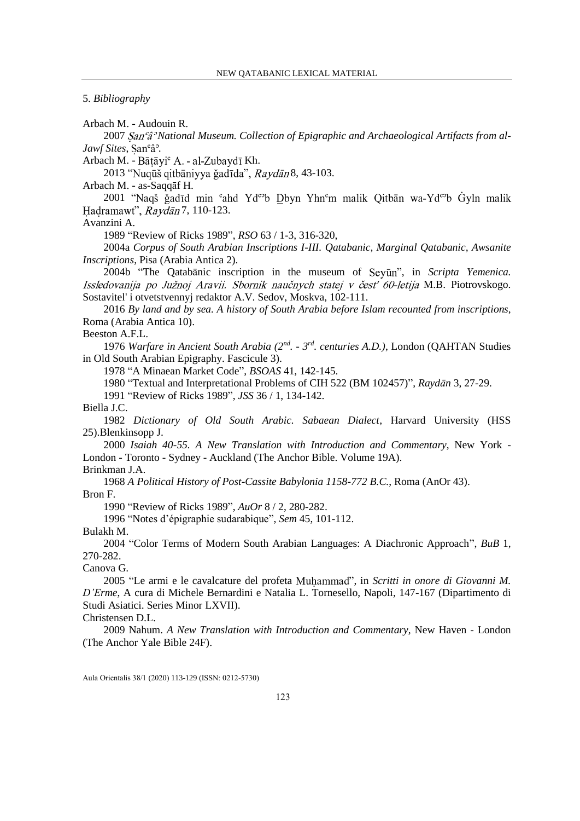5. *Bibliography*

Arbach M. - Audouin R.

2007 *National Museum. Collection of Epigraphic and Archaeological Artifacts from al-Jawf Sites*, San<sup>c</sup> $\hat{a}^3$ .

Arbach M. - Bātāyi<sup>c</sup> A. - al-Zubaydī Kh.

2013 "Nuqūš qitbāniyya ğadīda", Raydān 8, 43-103.

Arbach M. - as-Saqqāf H.

2001 "Naqš ğadīd min 'ahd Yd<sup>co</sup>b Dbyn Yhn'm malik Qitbān wa-Yd<sup>co</sup>b Gyln malik Hadramawt", Raydan 7, 110-123.

Avanzini A.

1989 "Review of Ricks 1989", *RSO* 63 / 1-3, 316-320,

2004a *Corpus of South Arabian Inscriptions I-III. Qatabanic, Marginal Qatabanic, Awsanite Inscriptions*, Pisa (Arabia Antica 2).

2004b "The Qatabānic inscription in the museum of Seyūn", in *Scripta Yemenica*. Issledovanija po Južnoj Aravii. Sbornik naučnych statej v česť 60-letija M.B. Piotrovskogo. Sostavitel' i otvetstvennyj redaktor A.V. Sedov, Moskva, 102-111.

2016 *By land and by sea. A history of South Arabia before Islam recounted from inscriptions*, Roma (Arabia Antica 10).

Beeston A.F.L.

1976 *Warfare in Ancient South Arabia (2nd . - 3 rd. centuries A.D.)*, London (QAHTAN Studies in Old South Arabian Epigraphy. Fascicule 3).

1978 "A Minaean Market Code", *BSOAS* 41, 142-145.

1980 "Textual and Interpretational Problems of CIH 522 (BM 102457)", *Raydān* 3, 27-29.

1991 "Review of Ricks 1989", *JSS* 36 / 1, 134-142.

Biella J.C.

1982 *Dictionary of Old South Arabic. Sabaean Dialect*, Harvard University (HSS 25).Blenkinsopp J.

2000 *Isaiah 40-55. A New Translation with Introduction and Commentary*, New York - London - Toronto - Sydney - Auckland (The Anchor Bible. Volume 19A).

Brinkman J.A.

1968 *A Political History of Post-Cassite Babylonia 1158-772 B.C.*, Roma (AnOr 43). Bron F.

1990 "Review of Ricks 1989", *AuOr* 8 / 2, 280-282.

1996 "Notes d'épigraphie sudarabique", *Sem* 45, 101-112.

Bulakh M.

2004 "Color Terms of Modern South Arabian Languages: A Diachronic Approach", *BuB* 1, 270-282.

Canova G.

2005 "Le armi e le cavalcature del profeta Muhammad", in *Scritti in onore di Giovanni M*. *D'Erme*, A cura di Michele Bernardini e Natalia L. Tornesello, Napoli, 147-167 (Dipartimento di Studi Asiatici. Series Minor LXVII).

Christensen D.L.

2009 Nahum. *A New Translation with Introduction and Commentary*, New Haven - London (The Anchor Yale Bible 24F).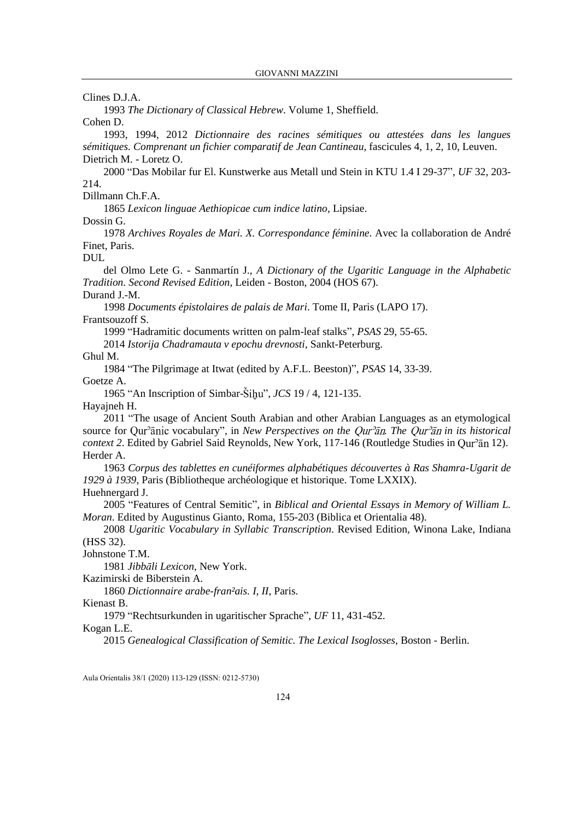Clines D.J.A.

1993 *The Dictionary of Classical Hebrew*. Volume 1, Sheffield.

Cohen D.

1993, 1994, 2012 *Dictionnaire des racines sémitiques ou attestées dans les langues sémitiques. Comprenant un fichier comparatif de Jean Cantineau*, fascicules 4, 1, 2, 10, Leuven. Dietrich M. - Loretz O.

2000 "Das Mobilar fur El. Kunstwerke aus Metall und Stein in KTU 1.4 I 29-37", *UF* 32, 203- 214.

Dillmann Ch.F.A.

1865 *Lexicon linguae Aethiopicae cum indice latino*, Lipsiae.

Dossin G.

1978 *Archives Royales de Mari. X. Correspondance féminine*. Avec la collaboration de André Finet, Paris.

DUL

del Olmo Lete G. - Sanmartín J., *A Dictionary of the Ugaritic Language in the Alphabetic Tradition. Second Revised Edition*, Leiden - Boston, 2004 (HOS 67).

Durand J.-M.

1998 *Documents épistolaires de palais de Mari*. Tome II, Paris (LAPO 17). Frantsouzoff S.

1999 "Hadramitic documents written on palm-leaf stalks", *PSAS* 29, 55-65.

2014 *Istorija Chadramauta v epochu drevnosti*, Sankt-Peterburg.

Ghul M.

1984 "The Pilgrimage at Itwat (edited by A.F.L. Beeston)", *PSAS* 14, 33-39.

Goetze A.

1965 "An Inscription of Simbar-Šihu", *JCS* 19 / 4, 121-135.

Hayajneh H.

2011 "The usage of Ancient South Arabian and other Arabian Languages as an etymological source for Qur<sup>3</sup>anic vocabulary", in *New Perspectives on the Qur<sup>3</sup>an. The Qur<sup>3</sup>an in its historical context 2*. Edited by Gabriel Said Reynolds, New York, 117-146 (Routledge Studies in Our<sup>9</sup>an 12). Herder A.

1963 *Corpus des tablettes en cunéiformes alphabétiques découvertes à Ras Shamra-Ugarit de 1929 à 1939*, Paris (Bibliotheque archéologique et historique. Tome LXXIX).

Huehnergard J.

2005 "Features of Central Semitic", in *Biblical and Oriental Essays in Memory of William L. Moran*. Edited by Augustinus Gianto, Roma, 155-203 (Biblica et Orientalia 48).

2008 *Ugaritic Vocabulary in Syllabic Transcription*. Revised Edition, Winona Lake, Indiana (HSS 32).

Johnstone T.M.

1981 *Jibbāli Lexicon*, New York.

Kazimirski de Biberstein A.

1860 *Dictionnaire arabe-fran²ais. I, II*, Paris.

Kienast B.

1979 "Rechtsurkunden in ugaritischer Sprache", *UF* 11, 431-452.

Kogan L.E.

2015 *Genealogical Classification of Semitic. The Lexical Isoglosses*, Boston - Berlin.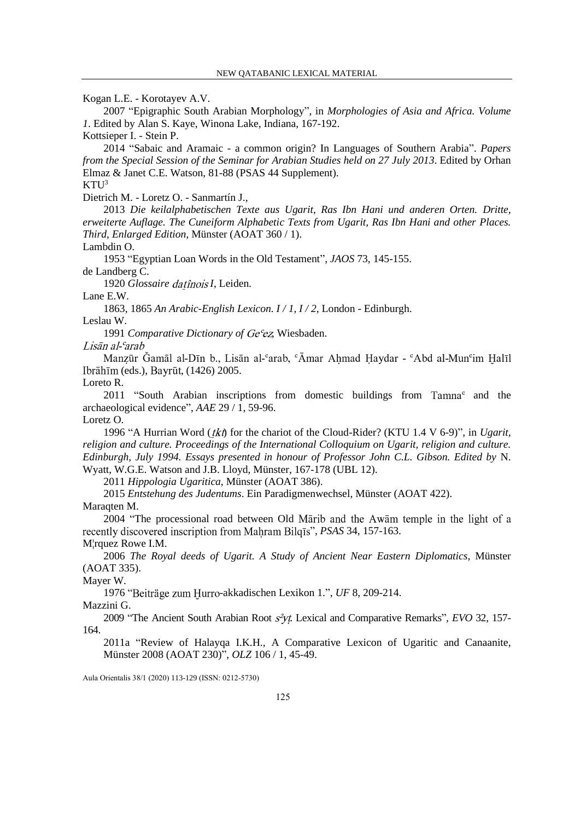Kogan L.E. - Korotayev A.V.

2007 "Epigraphic South Arabian Morphology", in *Morphologies of Asia and Africa. Volume 1*. Edited by Alan S. Kaye, Winona Lake, Indiana, 167-192.

Kottsieper I. - Stein P.

2014 "Sabaic and Aramaic - a common origin? In Languages of Southern Arabia". *Papers from the Special Session of the Seminar for Arabian Studies held on 27 July 2013*. Edited by Orhan Elmaz & Janet C.E. Watson, 81-88 (PSAS 44 Supplement).

 $KTU<sup>3</sup>$ 

Dietrich M. - Loretz O. - Sanmartín J.,

2013 *Die keilalphabetischen Texte aus Ugarit, Ras Ibn Hani und anderen Orten. Dritte, erweiterte Auflage. The Cuneiform Alphabetic Texts from Ugarit, Ras Ibn Hani and other Places. Third, Enlarged Edition*, Münster (AOAT 360 / 1).

Lambdin O.

1953 "Egyptian Loan Words in the Old Testament", *JAOS* 73, 145-155. de Landberg C.

1920 *Glossaire datînois I*, Leiden.

Lane E.W.

1863, 1865 *An Arabic-English Lexicon. I / 1, I / 2*, London - Edinburgh.

Leslau W.

1991 *Comparative Dictionary of Ge<sup>c</sup>ez*, Wiesbaden.

Lisān al-°arab

Manzūr Gamāl al-Dīn b., Lisān al-°arab, °Āmar Ahmad Haydar - °Abd al-Mun°im Halīl Ibrāhīm (eds.), Bayrūt, (1426) 2005.

Loreto R.

2011 "South Arabian inscriptions from domestic buildings from Tamna<sup>c</sup> and the archaeological evidence", *AAE* 29 / 1, 59-96.

Loretz O.

1996 "A Hurrian Word (*tkt*) for the chariot of the Cloud-Rider? (KTU 1.4 V 6-9)", in *Ugarit*, *religion and culture. Proceedings of the International Colloquium on Ugarit, religion and culture. Edinburgh, July 1994. Essays presented in honour of Professor John C.L. Gibson. Edited by* N. Wyatt, W.G.E. Watson and J.B. Lloyd, Münster, 167-178 (UBL 12).

2011 *Hippologia Ugaritica*, Münster (AOAT 386).

2015 *Entstehung des Judentums*. Ein Paradigmenwechsel, Münster (AOAT 422).

Maraqten M.

2004 "The processional road between Old Mārib and the Awām temple in the light of a recently discovered inscription from Mahram Bilg<sub>1</sub>s", *PSAS* 34, 157-163.

M¦rquez Rowe I.M.

2006 *The Royal deeds of Ugarit. A Study of Ancient Near Eastern Diplomatics*, Münster (AOAT 335).

Mayer W.

1976 "Beiträge zum Hurro-akkadischen Lexikon 1.", *UF* 8, 209-214.

Mazzini G.

2009 "The Ancient South Arabian Root  $s^2$ yt. Lexical and Comparative Remarks", *EVO* 32, 157-164.

2011a "Review of Halayqa I.K.H., A Comparative Lexicon of Ugaritic and Canaanite, Münster 2008 (AOAT 230)", *OLZ* 106 / 1, 45-49.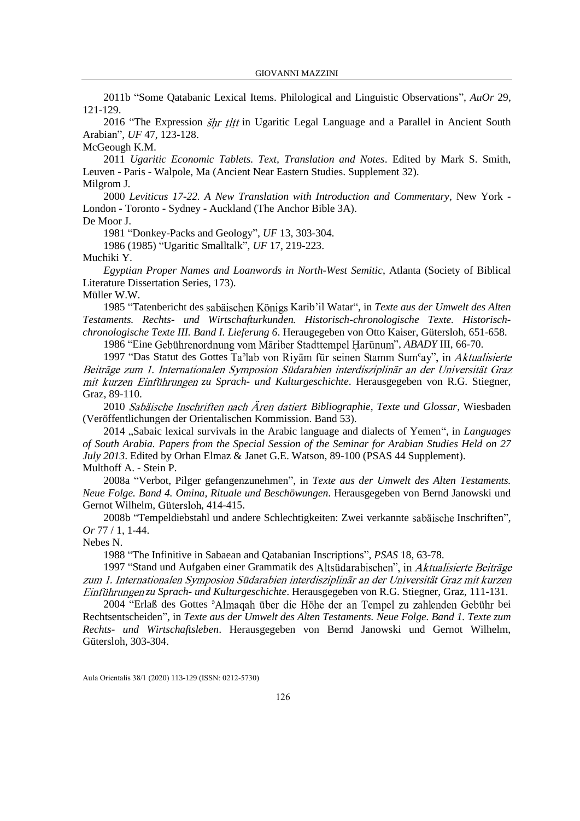2011b "Some Qatabanic Lexical Items. Philological and Linguistic Observations", *AuOr* 29, 121-129.

2016 "The Expression  $\sin$  tltt in Ugaritic Legal Language and a Parallel in Ancient South Arabian", *UF* 47, 123-128.

## McGeough K.M.

2011 *Ugaritic Economic Tablets. Text, Translation and Notes*. Edited by Mark S. Smith, Leuven - Paris - Walpole, Ma (Ancient Near Eastern Studies. Supplement 32). Milgrom J.

2000 *Leviticus 17-22. A New Translation with Introduction and Commentary*, New York - London - Toronto - Sydney - Auckland (The Anchor Bible 3A).

De Moor J.

1981 "Donkey-Packs and Geology", *UF* 13, 303-304.

1986 (1985) "Ugaritic Smalltalk", *UF* 17, 219-223.

Muchiki Y.

*Egyptian Proper Names and Loanwords in North-West Semitic*, Atlanta (Society of Biblical Literature Dissertation Series, 173).

Müller W.W.

1985 "Tatenbericht des sabäischen Königs Karib'il Watar", in *Texte aus der Umwelt des Alten Testaments. Rechts- und Wirtschafturkunden. Historisch-chronologische Texte. Historischchronologische Texte III. Band I. Lieferung 6*. Heraugegeben von Otto Kaiser, Gütersloh, 651-658.

1986 "Eine Gebührenordnung vom Māriber Stadttempel Harūnum", *ABADY* III, 66-70.

1997 "Das Statut des Gottes Ta<sup>3</sup>lab von Riyām für seinen Stamm Sum<sup>c</sup>ay", in Aktualisierte Beiträge zum 1. Internationalen Symposion Südarabien interdisziplinär an der Universität Graz *mit kurzen Einführungen zu Sprach- und Kulturgeschichte*. Herausgegeben von R.G. Stiegner, Graz, 89-110.

2010 Sabäische Inschriften nach Ären datiert. Bibliographie, Texte und Glossar, Wiesbaden (Veröffentlichungen der Orientalischen Kommission. Band 53).

2014 "Sabaic lexical survivals in the Arabic language and dialects of Yemen", in *Languages of South Arabia. Papers from the Special Session of the Seminar for Arabian Studies Held on 27 July 2013*. Edited by Orhan Elmaz & Janet G.E. Watson, 89-100 (PSAS 44 Supplement). Multhoff A. - Stein P.

2008a "Verbot, Pilger gefangenzunehmen", in *Texte aus der Umwelt des Alten Testaments. Neue Folge. Band 4. Omina, Rituale und Beschöwungen*. Herausgegeben von Bernd Janowski und Gernot Wilhelm, Gütersloh, 414-415.

2008b "Tempeldiebstahl und andere Schlechtigkeiten: Zwei verkannte sabäische Inschriften", *Or* 77 / 1, 1-44.

Nebes N.

1988 "The Infinitive in Sabaean and Qatabanian Inscriptions", *PSAS* 18, 63-78.

1997 "Stand und Aufgaben einer Grammatik des Altsüdarabischen", in Aktualisierte Beiträge zum 1. Internationalen Symposion Südarabien interdisziplinär an der Universität Graz mit kurzen *zu Sprach- und Kulturgeschichte*. Herausgegeben von R.G. Stiegner, Graz, 111-131.

2004 "Erlaß des Gottes <sup>3</sup>Almagah über die Höhe der an Tempel zu zahlenden Gebühr bei Rechtsentscheiden", in *Texte aus der Umwelt des Alten Testaments. Neue Folge. Band 1. Texte zum Rechts- und Wirtschaftsleben*. Herausgegeben von Bernd Janowski und Gernot Wilhelm, Gütersloh, 303-304.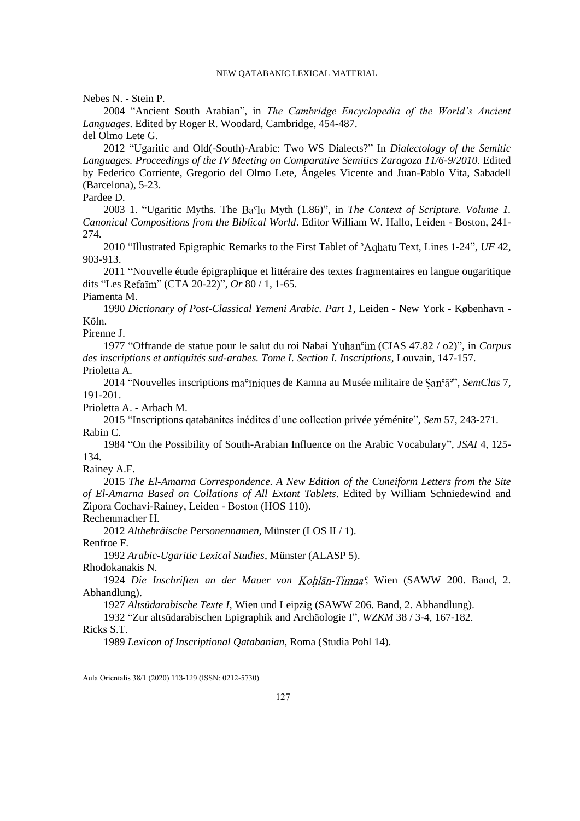Nebes N. - Stein P.

2004 "Ancient South Arabian", in *The Cambridge Encyclopedia of the World's Ancient Languages*. Edited by Roger R. Woodard, Cambridge, 454-487. del Olmo Lete G.

2012 "Ugaritic and Old(-South)-Arabic: Two WS Dialects?" In *Dialectology of the Semitic Languages. Proceedings of the IV Meeting on Comparative Semitics Zaragoza 11/6-9/2010*. Edited by Federico Corriente, Gregorio del Olmo Lete, Ángeles Vicente and Juan-Pablo Vita, Sabadell (Barcelona), 5-23.

# Pardee D.

2003 1. "Ugaritic Myths. The Ba<sup>c</sup>lu Myth (1.86)", in *The Context of Scripture. Volume 1. Canonical Compositions from the Biblical World*. Editor William W. Hallo, Leiden - Boston, 241- 274.

2010 "Illustrated Epigraphic Remarks to the First Tablet of <sup>3</sup>Aghatu Text, Lines 1-24", *UF* 42, 903-913.

2011 "Nouvelle étude épigraphique et littéraire des textes fragmentaires en langue ougaritique dits "Les Refaim" (CTA 20-22)", *Or* 80 / 1, 1-65.

Piamenta M.

1990 *Dictionary of Post-Classical Yemeni Arabic. Part 1*, Leiden - New York - København - Köln.

Pirenne J.

1977 "Offrande de statue pour le salut du roi Nabaí (CIAS 47.82 / o2)", in *Corpus des inscriptions et antiquités sud-arabes. Tome I. Section I. Inscriptions*, Louvain, 147-157. Prioletta A.

2014 "Nouvelles inscriptions ma<sup>c</sup>iniques de Kamna au Musée militaire de San<sup>c</sup>a", *SemClas* 7, 191-201.

Prioletta A. - Arbach M.

2015 "Inscriptions qatabānites inédites d'une collection privée yéménite", *Sem* 57, 243-271. Rabin C.

1984 "On the Possibility of South-Arabian Influence on the Arabic Vocabulary", *JSAI* 4, 125- 134.

Rainey A.F.

2015 *The El-Amarna Correspondence. A New Edition of the Cuneiform Letters from the Site of El-Amarna Based on Collations of All Extant Tablets*. Edited by William Schniedewind and Zipora Cochavi-Rainey, Leiden - Boston (HOS 110).

Rechenmacher H.

2012 *Althebräische Personennamen*, Münster (LOS II / 1).

Renfroe F.

1992 *Arabic-Ugaritic Lexical Studies*, Münster (ALASP 5).

Rhodokanakis N.

1924 Die Inschriften an der Mauer von Kohlān-Timna<sup>c</sup>, Wien (SAWW 200. Band, 2. Abhandlung).

1927 *Altsüdarabische Texte I*, Wien und Leipzig (SAWW 206. Band, 2. Abhandlung).

1932 "Zur altsüdarabischen Epigraphik and Archäologie I", *WZKM* 38 / 3-4, 167-182.

Ricks S.T.

1989 *Lexicon of Inscriptional Qatabanian*, Roma (Studia Pohl 14).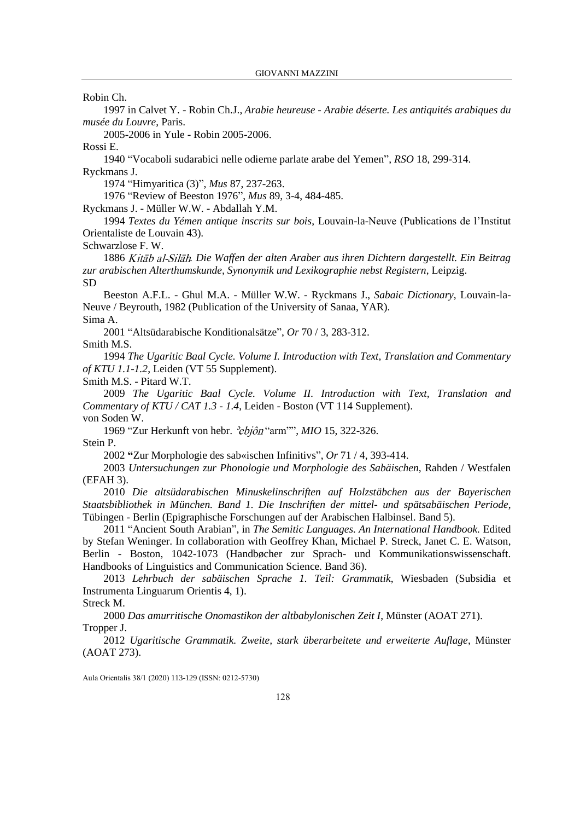Robin Ch.

1997 in Calvet Y. - Robin Ch.J., *Arabie heureuse - Arabie déserte. Les antiquités arabiques du musée du Louvre*, Paris.

2005-2006 in Yule - Robin 2005-2006.

Rossi E.

1940 "Vocaboli sudarabici nelle odierne parlate arabe del Yemen", *RSO* 18, 299-314. Ryckmans J.

1974 "Himyaritica (3)", *Mus* 87, 237-263.

1976 "Review of Beeston 1976", *Mus* 89, 3-4, 484-485.

Ryckmans J. - Müller W.W. - Abdallah Y.M.

1994 *Textes du Yémen antique inscrits sur bois*, Louvain-la-Neuve (Publications de l'Institut Orientaliste de Louvain 43).

Schwarzlose F. W.

1886 Kitāb al-Silāh. Die Waffen der alten Araber aus ihren Dichtern dargestellt. Ein Beitrag *zur arabischen Alterthumskunde, Synonymik und Lexikographie nebst Registern*, Leipzig. SD

Beeston A.F.L. - Ghul M.A. - Müller W.W. - Ryckmans J., *Sabaic Dictionary*, Louvain-la-Neuve / Beyrouth, 1982 (Publication of the University of Sanaa, YAR). Sima A.

2001 "Altsüdarabische Konditionalsätze", *Or* 70 / 3, 283-312.

Smith M.S.

1994 *The Ugaritic Baal Cycle. Volume I. Introduction with Text, Translation and Commentary of KTU 1.1-1.2*, Leiden (VT 55 Supplement).

Smith M.S. - Pitard W.T.

2009 *The Ugaritic Baal Cycle. Volume II. Introduction with Text, Translation and Commentary of KTU / CAT 1.3 - 1.4*, Leiden - Boston (VT 114 Supplement). von Soden W.

1969 "Zur Herkunft von hebr. *<sup>2</sup>ebjôn* "arm"", *MIO* 15, 322-326. Stein P.

2002 **"**Zur Morphologie des sab«ischen Infinitivs", *Or* 71 / 4, 393-414.

2003 *Untersuchungen zur Phonologie und Morphologie des Sabäischen*, Rahden / Westfalen (EFAH 3).

2010 *Die altsüdarabischen Minuskelinschriften auf Holzstäbchen aus der Bayerischen Staatsbibliothek in München. Band 1. Die Inschriften der mittel- und spätsabäischen Periode*, Tübingen - Berlin (Epigraphische Forschungen auf der Arabischen Halbinsel. Band 5).

2011 "Ancient South Arabian", in *The Semitic Languages. An International Handbook.* Edited by Stefan Weninger. In collaboration with Geoffrey Khan, Michael P. Streck, Janet C. E. Watson, Berlin - Boston, 1042-1073 (Handbøcher zur Sprach- und Kommunikationswissenschaft. Handbooks of Linguistics and Communication Science. Band 36).

2013 *Lehrbuch der sabäischen Sprache 1. Teil: Grammatik*, Wiesbaden (Subsidia et Instrumenta Linguarum Orientis 4, 1).

Streck M.

2000 *Das amurritische Onomastikon der altbabylonischen Zeit I*, Münster (AOAT 271). Tropper J.

2012 *Ugaritische Grammatik. Zweite, stark überarbeitete und erweiterte Auflage*, Münster (AOAT 273).